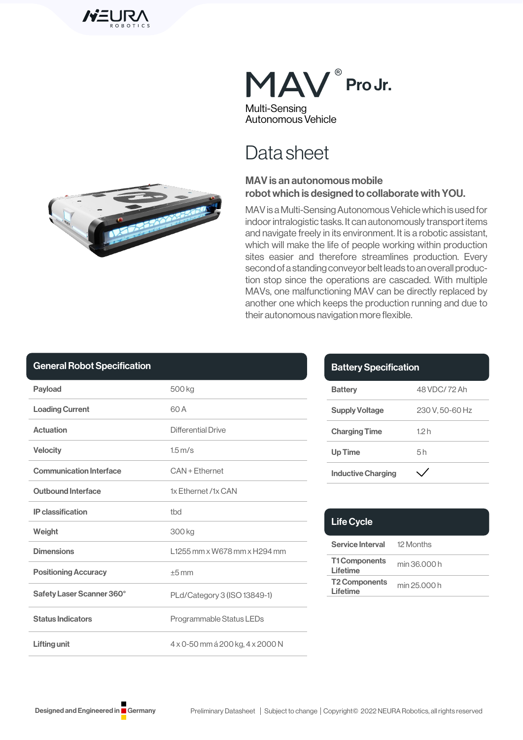



# Data sheet

### MAV is an autonomous mobile robot which is designed to collaborate with YOU.

MAV is a Multi-Sensing Autonomous Vehicle which is used for indoor intralogistic tasks. It can autonomously transport items and navigate freely in its environment. It is a robotic assistant, which will make the life of people working within production sites easier and therefore streamlines production. Every second of a standing conveyor belt leads to an overall production stop since the operations are cascaded. With multiple MAVs, one malfunctioning MAV can be directly replaced by another one which keeps the production running and due to their autonomous navigation more flexible.

| <b>Payload</b>                 | 500 kg                           |
|--------------------------------|----------------------------------|
| <b>Loading Current</b>         | 60 A                             |
| <b>Actuation</b>               | Differential Drive               |
| <b>Velocity</b>                | $1.5 \,\mathrm{m/s}$             |
| <b>Communication Interface</b> | CAN + Fthernet                   |
| <b>Outbound Interface</b>      | 1x Ethernet /1x CAN              |
| <b>IP</b> classification       | tbd                              |
| Weight                         | 300 kg                           |
| <b>Dimensions</b>              | 11255 mm x W678 mm x H294 mm     |
| <b>Positioning Accuracy</b>    | $+5$ mm                          |
| Safety Laser Scanner 360°      | PLd/Category 3 (ISO 13849-1)     |
| <b>Status Indicators</b>       | Programmable Status LEDs         |
| <b>Lifting unit</b>            | 4 x 0-50 mm á 200 kg, 4 x 2000 N |

| <b>Battery Specification</b> |                |
|------------------------------|----------------|
| <b>Battery</b>               | 48 VDC/72 Ah   |
| <b>Supply Voltage</b>        | 230 V.50-60 Hz |
| <b>Charging Time</b>         | 12h            |
| <b>Up Time</b>               | 5h             |
| <b>Inductive Charging</b>    |                |

| <b>Life Cycle</b>                 |              |
|-----------------------------------|--------------|
| <b>Service Interval</b> 12 Months |              |
| <b>T1 Components</b><br>I ifetime | min 36.000 h |
| <b>T2 Components</b><br>Lifetime  | min 25.000 h |